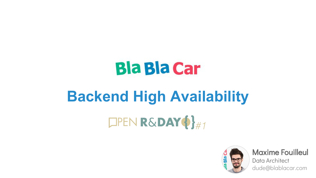# **Bla Bla Car**

# **Backend High Availability** $D$ PEN R&DAY $\{\}$ #1



Maxime Fouilleul

Data Architect dude@blablacar.com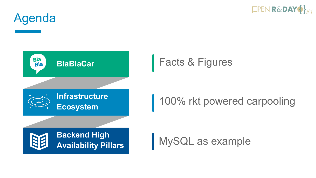

Agenda



100% rkt powered carpooling

MySQL as example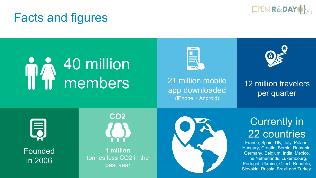

#### Facts and figures

# 40 million members



21 million mobile app downloaded (iPhone + Android)



12 million travelers per quarter



Founded in 2006



**1 million**  tonnes less CO2 in the past year



#### **Currently in** 22 countries

France, Spain, UK, Italy, Poland, Hungary, Croatia, Serbia, Romania, Germany, Belgium, India, Mexico, The Netherlands, Luxembourg, Portugal, Ukraine, Czech Republic, Slovakia, Russia, Brazil and Turkey.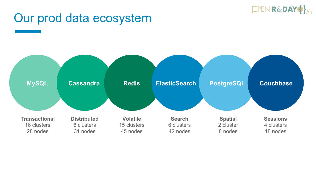

#### Our prod data ecosystem

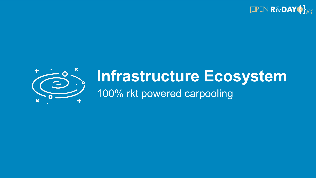



## **Infrastructure Ecosystem** 100% rkt powered carpooling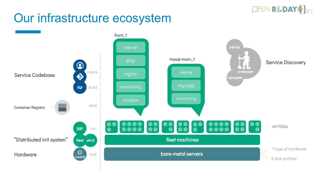#### $D$ PEN R&DAY $\{\}$ #1

### Our infrastructure ecosystem

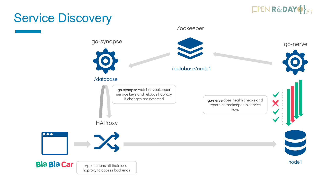

#### Service Discovery

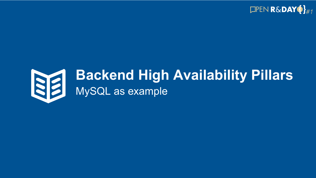



## **Backend High Availability Pillars** MySQL as example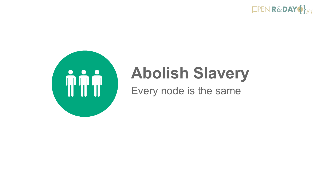



# **Abolish Slavery**

Every node is the same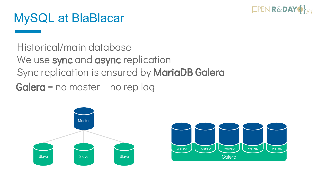

#### MySQL at BlaBlacar

Historical/main database We use sync and async replication Sync replication is ensured by MariaDB Galera Galera = no master + no rep lag



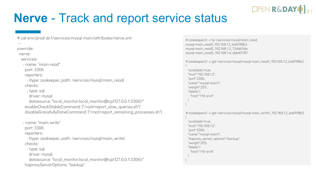

#### **Nerve** - Track and report service status

-- override: nerve: services: - name: "main-read" port: 3306 reporters: - {type: zookeeper, path: /services/mysql/main\_read} checks: - type: sql driver: mysql datasource: "local\_monitor:local\_monitor@tcp(127.0.0.1:3306)/" - name: "main-write" port: 3306 reporters: - {type: zookeeper, path: /services/mysql/main\_write} checks: - type: sql driver: mysql datasource: "local\_monitor:local\_monitor@tcp(127.0.0.1:3306)/" haproxyServerOptions: "backup" enableCheckStableCommand: ["/root/report\_slow\_queries.sh"] disableGracefullyDoneCommand: ["/root/report\_remaining\_processes.sh"]

# cat env/prod-dc1/services/mysql-main/attributes/nerve.yml

# zookeepercli -c lsr /services/mysql/main\_read mysql-main\_read1\_192.168.1.2\_ba0f1f8b3 mysql-main\_read2\_192.168.1.3\_734d63da mysql-main\_read3\_192.168.1.4\_dde45787

# zookeepercli -c get /services/mysql/mysql-main\_read1\_192.168.1.2\_ba0f1f8b3 {

 "available":true, "host":"192.168.1.2", "port":3306, "name":"mysql-main1", "weight":255, "labels":{ "host":"r10-srv4" }

}

}

# zookeepercli -c get /services/mysql/mysql-main\_write1\_192.168.1.2\_ba0f1f8b3

{ "available":true, "host":"192.168.1.2", "port":3306, "name":"mysql-main1", "haproxy\_server\_options":"backup", "weight":255, "labels":{ "host":"r10-srv4" }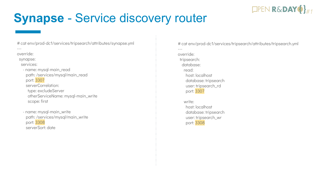### **Synapse** - Service discovery router

# cat env/prod-dc1/services/tripsearch/attributes/synapse.yml ---

override:

synapse:

services:

 - name: mysql-main\_read path: /services/mysql/main\_read port: 3307 serverCorrelation: type: excludeServer otherServiceName: mysql-main\_write scope: first

 - name: mysql-main\_write path: /services/mysql/main\_write port: 3308 serverSort: date

# cat env/prod-dc1/services/tripsearch/attributes/tripsearch.yml ---

 $\mathsf{DPEN}\,\mathbf{R\&}\mathbf{DAY}\,\Phi\}_{\#1}$ 

override: tripsearch: database: read: host: localhost database: tripsearch user: tripsearch\_rd port: 3307

> write: host: localhost database: tripsearch user: tripsearch\_wr port: 3308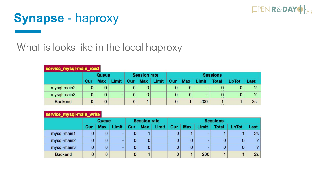

#### **Synapse** - haproxy

#### What is looks like in the local haproxy

| service_mysql-main_read |            |            |                |                     |            |       |                 |            |                          |              |              |            |  |
|-------------------------|------------|------------|----------------|---------------------|------------|-------|-----------------|------------|--------------------------|--------------|--------------|------------|--|
|                         | Queue      |            |                | <b>Session rate</b> |            |       | <b>Sessions</b> |            |                          |              |              |            |  |
|                         | <b>Cur</b> | <b>Max</b> |                | Cur                 | <b>Max</b> | Limit | Cur             | <b>Max</b> | Limit                    | <b>Total</b> | <b>LbTot</b> | Last       |  |
| mysql-main2             | 0          |            | -              |                     |            |       |                 |            | $\overline{\phantom{0}}$ | $\cdots$     |              |            |  |
| mysql-main3             | 0          |            | $\blacksquare$ |                     |            |       |                 |            |                          | $$           |              | $\sqrt{2}$ |  |
| <b>Backend</b>          | 0          |            |                |                     |            |       |                 |            | 200                      | $\cdots$     |              | 2s         |  |

#### service\_mysql-main\_write

|                | Queue |            |                | <b>Session rate</b> |            |       | <b>Sessions</b> |            |                          |               |       |               |  |
|----------------|-------|------------|----------------|---------------------|------------|-------|-----------------|------------|--------------------------|---------------|-------|---------------|--|
|                | Cur   | <b>Max</b> |                | Cur                 | <b>Max</b> | Limit | Cur             | <b>Max</b> | .imit                    | <b>Total</b>  | LbTot | Last          |  |
| mysql-main1    |       |            | u.             |                     |            |       |                 |            | $\overline{\phantom{0}}$ | $\cdots$      |       | 2s            |  |
| mysql-main2    |       |            | $\blacksquare$ |                     | 0          |       | 0               |            | $\overline{\phantom{0}}$ | 0<br>$\cdots$ |       | $\mathcal{P}$ |  |
| mysql-main3    |       |            | $\blacksquare$ |                     | 0          |       | 0               |            | $\overline{ }$           | 0<br>11.7     |       | 2             |  |
| <b>Backend</b> | 0     |            |                |                     |            |       | 0               |            | 200                      | $\cdots$      |       | 2s            |  |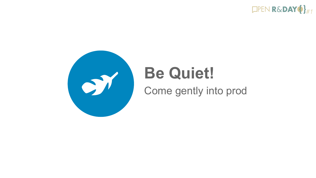



# **Be Quiet!**

Come gently into prod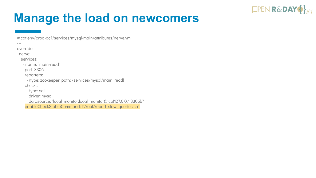### **Manage the load on newcomers**

 $\mathsf{DPEN}\,\mathbf{R\&}\mathbf{DAY}\,\Phi\}_{\#1}$ 

# cat env/prod-dc1/services/mysql-main/attributes/nerve.yml

---

override:

nerve:

services:

- name: "main-read"

port: 3306

reporters:

 - {type: zookeeper, path: /services/mysql/main\_read} checks:

- type: sql

driver: mysql

datasource: "local\_monitor:local\_monitor@tcp(127.0.0.1:3306)/"

enableCheckStableCommand: ["/root/report\_slow\_queries.sh"]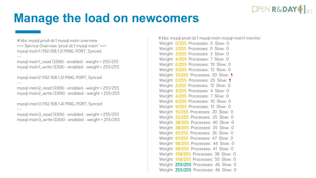

#### **Manage the load on newcomers**

# bbc mysql prod-dc1 mysql-main overview === Service Overview 'prod-dc1 mysql-main' === mysql-main1 (192.168.1.2) PING, PORT, Synced ---

mysql-main1\_read (3306) - enabled - weight = 255/255 mysql-main1\_write (3306) - enabled - weight = 255/255

mysql-main2 (192.168.1.3) PING, PORT, Synced ---

mysql-main2\_read (3306) - enabled - weight = 255/255 mysql-main2\_write (3306) - enabled - weight = 255/255

mysql-main3 (192.168.1.4) PING, PORT, Synced

---

mysql-main3\_read (3306) - enabled - weight = 255/255 mysql-main3\_write (3306) - enabled - weight = 255/255

Weight: **0/255** Processes: 0 Slow: 0 Weight: 2/255 Processes: 0 Slow: 0 Weight: 3/255 Processes: 3 Slow: 0 Weight: 4/255 Processes: 7 Slow: 0 Weight: 6/255 Processes: 10 Slow: 0 Weight: **9/255** Processes: 12 Slow: 0 Weight: 15/255 Processes: 20 Slow: 1 Weight: 0/255 Processes: 20 Slow: 1 Weight: 2/255 Processes: 12 Slow: 0 Weight: 3/255 Processes: 4 Slow: 0 Weight: **4/255** Processes: 7 Slow: 0 Weight: 6/255 Processes: 10 Slow: 0 Weight: **9/255** Processes: 12 Slow: 0 Weight: **15/255** Processes: 20 Slow: 0 Weight: 23/255 Processes: 35 Slow: 0 Weight: 38/255 Processes: 40 Slow: 0 Weight: 38/255 Processes: 35 Slow: 0 Weight: 61/255 Processes: 36 Slow: 0 Weight: 61/255 Processes: 47 Slow: 0 Weight: **98/255** Processes: 44 Slow: 0 Weight: **98/255** Processes: 41 Slow: 0 Weight: 158/255 Processes: 38 Slow: 0 Weight: 158/255 Processes: 50 Slow: 0 Weight: 255/255 Processes: 46 Slow: 0 Weight: 255/255 Processes: 46 Slow: 0 # bbc mysql prod-dc1 mysql-main mysql-main1 monitor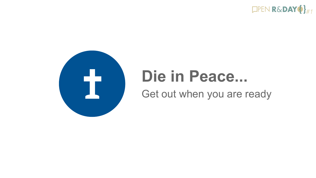



# **Die in Peace...**

Get out when you are ready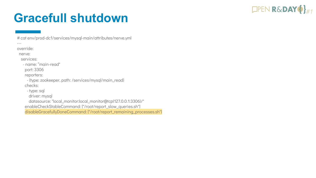#### $\Box$ PEN R&DAY $\{\}$ #1

## **Gracefull shutdown**

# cat env/prod-dc1/services/mysql-main/attributes/nerve.yml

---

override:

nerve:

services:

- name: "main-read"

port: 3306

reporters:

 - {type: zookeeper, path: /services/mysql/main\_read} checks:

- type: sql

driver: mysql

 datasource: "local\_monitor:local\_monitor@tcp(127.0.0.1:3306)/" enableCheckStableCommand: ["/root/report\_slow\_queries.sh"] disableGracefullyDoneCommand: ["/root/report\_remaining\_processes.sh"]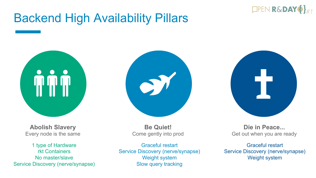

#### Backend High Availability Pillars



**Abolish Slavery** Every node is the same

1 type of Hardware rkt Containers No master/slave Service Discovery (nerve/synapse)





**Be Quiet!** Come gently into prod

Graceful restart Service Discovery (nerve/synapse) Weight system Slow query tracking

**Die in Peace...** Get out when you are ready

Graceful restart Service Discovery (nerve/synapse) Weight system